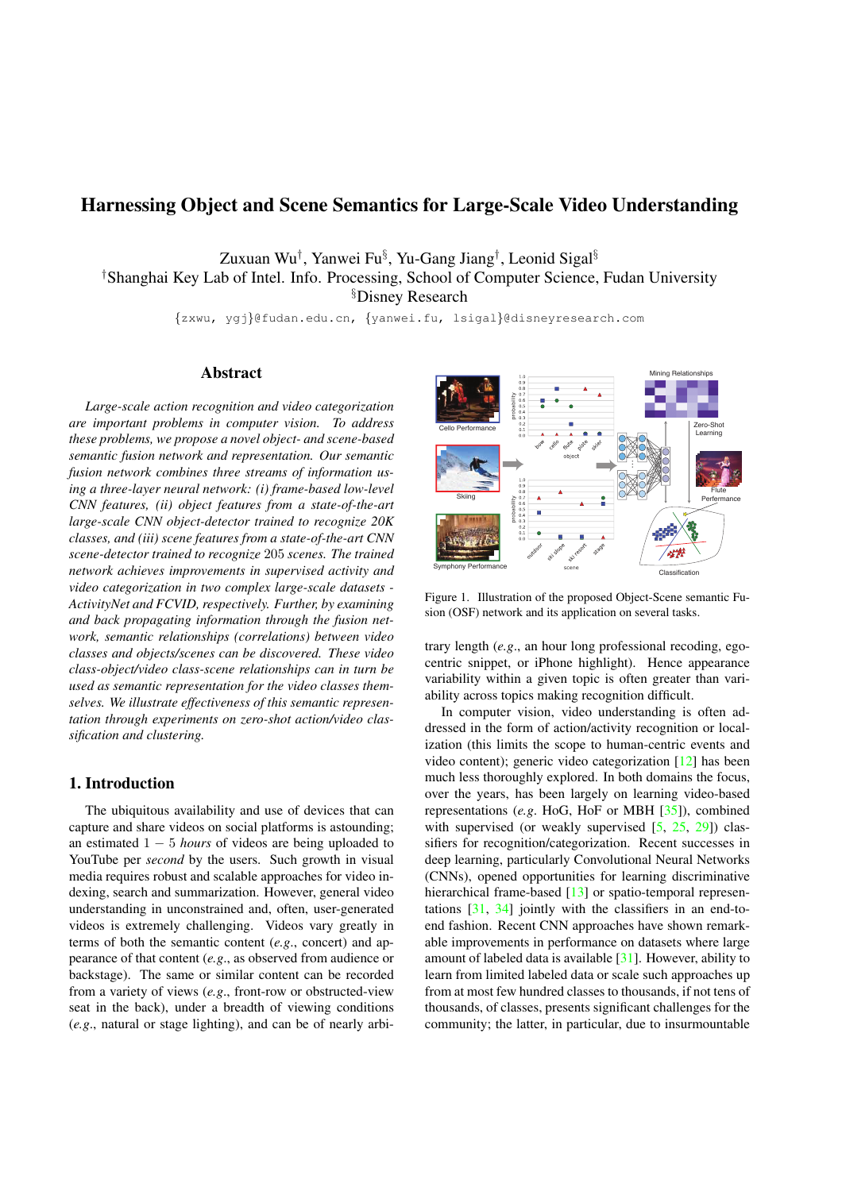# Harnessing Object and Scene Semantics for Large-Scale Video Understanding

Zuxuan Wu*†* , Yanwei Fu*§* , Yu-Gang Jiang*†* , Leonid Sigal*§ †* Shanghai Key Lab of Intel. Info. Processing, School of Computer Science, Fudan University *§* Disney Research

*{*zxwu, ygj*}*@fudan.edu.cn, *{*yanwei.fu, lsigal*}*@disneyresearch.com

## Abstract

*Large-scale action recognition and video categorization are important problems in computer vision. To address these problems, we propose a novel object- and scene-based semantic fusion network and representation. Our semantic fusion network combines three streams of information using a three-layer neural network: (i) frame-based low-level CNN features, (ii) object features from a state-of-the-art large-scale CNN object-detector trained to recognize 20K classes, and (iii) scene features from a state-of-the-art CNN scene-detector trained to recognize* 205 *scenes. The trained network achieves improvements in supervised activity and video categorization in two complex large-scale datasets - ActivityNet and FCVID, respectively. Further, by examining and back propagating information through the fusion network, semantic relationships (correlations) between video classes and objects/scenes can be discovered. These video class-object/video class-scene relationships can in turn be used as semantic representation for the video classes themselves. We illustrate effectiveness of this semantic representation through experiments on zero-shot action/video classification and clustering.*

## 1. Introduction

The ubiquitous availability and use of devices that can capture and share videos on social platforms is astounding; an estimated  $1 - 5$  *hours* of videos are being uploaded to YouTube per *second* by the users. Such growth in visual media requires robust and scalable approaches for video indexing, search and summarization. However, general video understanding in unconstrained and, often, user-generated videos is extremely challenging. Videos vary greatly in terms of both the semantic content (*e.g*., concert) and appearance of that content (*e.g*., as observed from audience or backstage). The same or similar content can be recorded from a variety of views (*e.g*., front-row or obstructed-view seat in the back), under a breadth of viewing conditions (*e.g*., natural or stage lighting), and can be of nearly arbi-



Figure 1. Illustration of the proposed Object-Scene semantic Fusion (OSF) network and its application on several tasks.

trary length (*e.g*., an hour long professional recoding, egocentric snippet, or iPhone highlight). Hence appearance variability within a given topic is often greater than variability across topics making recognition difficult.

In computer vision, video understanding is often addressed in the form of action/activity recognition or localization (this limits the scope to human-centric events and video content); generic video categorization [12] has been much less thoroughly explored. In both domains the focus, over the years, has been largely on learning video-based representations (*e.g*. HoG, HoF or MBH [35]), combined with supervised (or weakly supervised  $[5, 25, 29]$ ) classifiers for recognition/categorization. Recent successes in deep learning, particularly Convolutional Neural Networks (CNNs), opened opportunities for learning discriminative hierarchical frame-based [13] or spatio-temporal representations [31, 34] jointly with the classifiers in an end-toend fashion. Recent CNN approaches have shown remarkable improvements in performance on datasets where large amount of labeled data is available [31]. However, ability to learn from limited labeled data or scale such approaches up from at most few hundred classes to thousands, if not tens of thousands, of classes, presents significant challenges for the community; the latter, in particular, due to insurmountable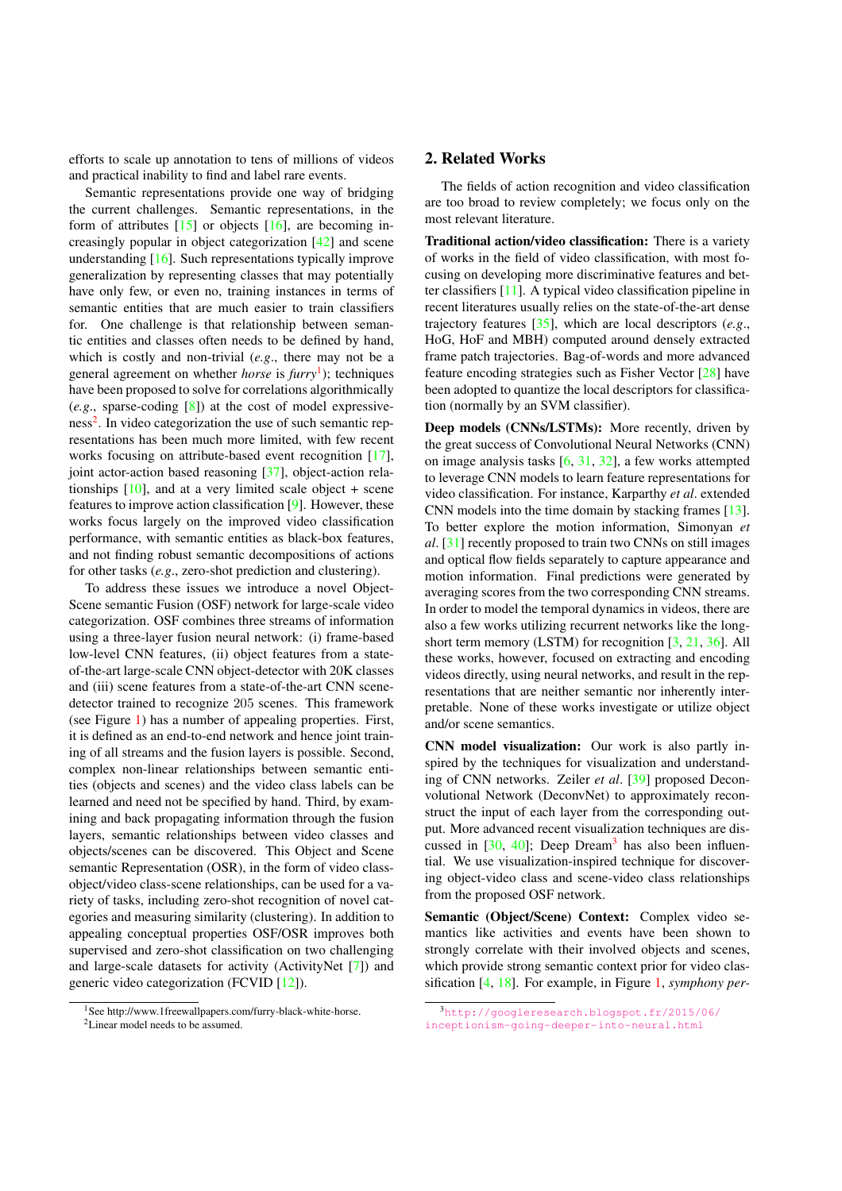efforts to scale up annotation to tens of millions of videos and practical inability to find and label rare events.

Semantic representations provide one way of bridging the current challenges. Semantic representations, in the form of attributes  $[15]$  or objects  $[16]$ , are becoming increasingly popular in object categorization [42] and scene understanding [16]. Such representations typically improve generalization by representing classes that may potentially have only few, or even no, training instances in terms of semantic entities that are much easier to train classifiers for. One challenge is that relationship between semantic entities and classes often needs to be defined by hand, which is costly and non-trivial (*e.g*., there may not be a general agreement on whether *horse* is *furry*1); techniques have been proposed to solve for correlations algorithmically (*e.g*., sparse-coding [8]) at the cost of model expressiveness<sup>2</sup>. In video categorization the use of such semantic representations has been much more limited, with few recent works focusing on attribute-based event recognition [17], joint actor-action based reasoning [37], object-action relationships  $[10]$ , and at a very limited scale object + scene features to improve action classification [9]. However, these works focus largely on the improved video classification performance, with semantic entities as black-box features, and not finding robust semantic decompositions of actions for other tasks (*e.g*., zero-shot prediction and clustering).

To address these issues we introduce a novel Object-Scene semantic Fusion (OSF) network for large-scale video categorization. OSF combines three streams of information using a three-layer fusion neural network: (i) frame-based low-level CNN features, (ii) object features from a stateof-the-art large-scale CNN object-detector with 20K classes and (iii) scene features from a state-of-the-art CNN scenedetector trained to recognize 205 scenes. This framework (see Figure 1) has a number of appealing properties. First, it is defined as an end-to-end network and hence joint training of all streams and the fusion layers is possible. Second, complex non-linear relationships between semantic entities (objects and scenes) and the video class labels can be learned and need not be specified by hand. Third, by examining and back propagating information through the fusion layers, semantic relationships between video classes and objects/scenes can be discovered. This Object and Scene semantic Representation (OSR), in the form of video classobject/video class-scene relationships, can be used for a variety of tasks, including zero-shot recognition of novel categories and measuring similarity (clustering). In addition to appealing conceptual properties OSF/OSR improves both supervised and zero-shot classification on two challenging and large-scale datasets for activity (ActivityNet [7]) and generic video categorization (FCVID [12]).

<sup>1</sup>See http://www.1freewallpapers.com/furry-black-white-horse.

## 2. Related Works

The fields of action recognition and video classification are too broad to review completely; we focus only on the most relevant literature.

Traditional action/video classification: There is a variety of works in the field of video classification, with most focusing on developing more discriminative features and better classifiers [11]. A typical video classification pipeline in recent literatures usually relies on the state-of-the-art dense trajectory features [35], which are local descriptors (*e.g*., HoG, HoF and MBH) computed around densely extracted frame patch trajectories. Bag-of-words and more advanced feature encoding strategies such as Fisher Vector [28] have been adopted to quantize the local descriptors for classification (normally by an SVM classifier).

Deep models (CNNs/LSTMs): More recently, driven by the great success of Convolutional Neural Networks (CNN) on image analysis tasks [6, 31, 32], a few works attempted to leverage CNN models to learn feature representations for video classification. For instance, Karparthy *et al*. extended CNN models into the time domain by stacking frames [13]. To better explore the motion information, Simonyan *et al*. [31] recently proposed to train two CNNs on still images and optical flow fields separately to capture appearance and motion information. Final predictions were generated by averaging scores from the two corresponding CNN streams. In order to model the temporal dynamics in videos, there are also a few works utilizing recurrent networks like the longshort term memory (LSTM) for recognition [3, 21, 36]. All these works, however, focused on extracting and encoding videos directly, using neural networks, and result in the representations that are neither semantic nor inherently interpretable. None of these works investigate or utilize object and/or scene semantics.

CNN model visualization: Our work is also partly inspired by the techniques for visualization and understanding of CNN networks. Zeiler *et al*. [39] proposed Deconvolutional Network (DeconvNet) to approximately reconstruct the input of each layer from the corresponding output. More advanced recent visualization techniques are discussed in  $[30, 40]$ ; Deep Dream<sup>3</sup> has also been influential. We use visualization-inspired technique for discovering object-video class and scene-video class relationships from the proposed OSF network.

Semantic (Object/Scene) Context: Complex video semantics like activities and events have been shown to strongly correlate with their involved objects and scenes, which provide strong semantic context prior for video classification [4, 18]. For example, in Figure 1, *symphony per-*

<sup>2</sup>Linear model needs to be assumed.

<sup>3</sup>http://googleresearch.blogspot.fr/2015/06/ inceptionism-going-deeper-into-neural.html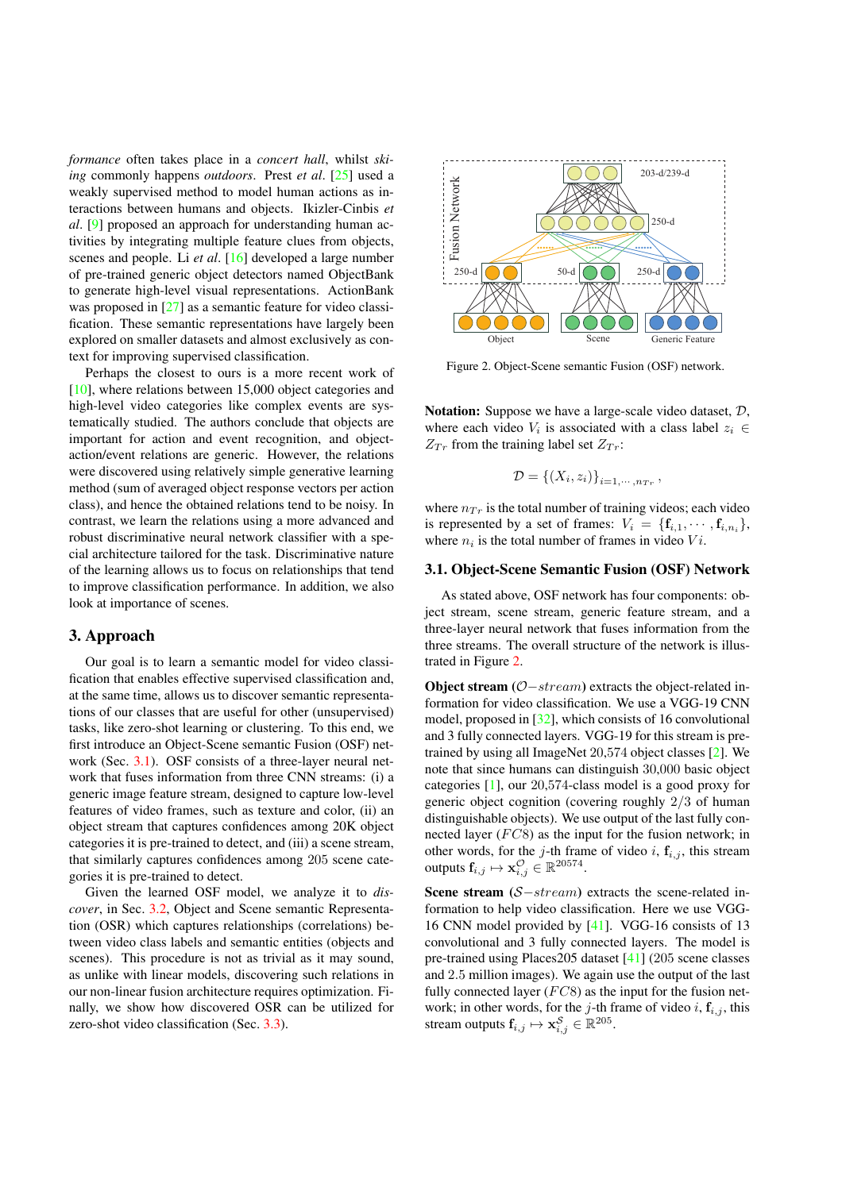*formance* often takes place in a *concert hall*, whilst *skiing* commonly happens *outdoors*. Prest *et al*. [25] used a weakly supervised method to model human actions as interactions between humans and objects. Ikizler-Cinbis *et al*. [9] proposed an approach for understanding human activities by integrating multiple feature clues from objects, scenes and people. Li *et al*. [16] developed a large number of pre-trained generic object detectors named ObjectBank to generate high-level visual representations. ActionBank was proposed in [27] as a semantic feature for video classification. These semantic representations have largely been explored on smaller datasets and almost exclusively as context for improving supervised classification.

Perhaps the closest to ours is a more recent work of [10], where relations between 15,000 object categories and high-level video categories like complex events are systematically studied. The authors conclude that objects are important for action and event recognition, and objectaction/event relations are generic. However, the relations were discovered using relatively simple generative learning method (sum of averaged object response vectors per action class), and hence the obtained relations tend to be noisy. In contrast, we learn the relations using a more advanced and robust discriminative neural network classifier with a special architecture tailored for the task. Discriminative nature of the learning allows us to focus on relationships that tend to improve classification performance. In addition, we also look at importance of scenes.

## 3. Approach

Our goal is to learn a semantic model for video classification that enables effective supervised classification and, at the same time, allows us to discover semantic representations of our classes that are useful for other (unsupervised) tasks, like zero-shot learning or clustering. To this end, we first introduce an Object-Scene semantic Fusion (OSF) network (Sec. 3.1). OSF consists of a three-layer neural network that fuses information from three CNN streams: (i) a generic image feature stream, designed to capture low-level features of video frames, such as texture and color, (ii) an object stream that captures confidences among 20K object categories it is pre-trained to detect, and (iii) a scene stream, that similarly captures confidences among 205 scene categories it is pre-trained to detect.

Given the learned OSF model, we analyze it to *discover*, in Sec. 3.2, Object and Scene semantic Representation (OSR) which captures relationships (correlations) between video class labels and semantic entities (objects and scenes). This procedure is not as trivial as it may sound, as unlike with linear models, discovering such relations in our non-linear fusion architecture requires optimization. Finally, we show how discovered OSR can be utilized for zero-shot video classification (Sec. 3.3).



Figure 2. Object-Scene semantic Fusion (OSF) network.

Notation: Suppose we have a large-scale video dataset, *D*, where each video  $V_i$  is associated with a class label  $z_i \in$  $Z_{Tr}$  from the training label set  $Z_{Tr}$ :

$$
\mathcal{D} = \left\{ (X_i, z_i) \right\}_{i=1,\cdots,n_{T_r}},
$$

where  $n_{Tr}$  is the total number of training videos; each video is represented by a set of frames:  $V_i = \{f_{i,1}, \dots, f_{i,n_i}\},\$ where  $n_i$  is the total number of frames in video  $Vi$ .

#### 3.1. Object-Scene Semantic Fusion (OSF) Network

As stated above, OSF network has four components: object stream, scene stream, generic feature stream, and a three-layer neural network that fuses information from the three streams. The overall structure of the network is illustrated in Figure 2.

**Object stream** ( $O$ -stream) extracts the object-related information for video classification. We use a VGG-19 CNN model, proposed in [32], which consists of 16 convolutional and 3 fully connected layers. VGG-19 for this stream is pretrained by using all ImageNet 20,574 object classes [2]. We note that since humans can distinguish 30,000 basic object categories [1], our 20,574-class model is a good proxy for generic object cognition (covering roughly 2*/*3 of human distinguishable objects). We use output of the last fully connected layer (*F C*8) as the input for the fusion network; in other words, for the *j*-th frame of video *i*,  $f_{i,j}$ , this stream outputs  $\mathbf{f}_{i,j} \mapsto \mathbf{x}^{\mathcal{O}}_{i,j} \in \mathbb{R}^{20574}.$ 

Scene stream  $(S<sub>-stream</sub>)$  extracts the scene-related information to help video classification. Here we use VGG-16 CNN model provided by [41]. VGG-16 consists of 13 convolutional and 3 fully connected layers. The model is pre-trained using Places205 dataset [41] (205 scene classes and 2*.*5 million images). We again use the output of the last fully connected layer (*FC*8) as the input for the fusion network; in other words, for the  $j$ -th frame of video  $i$ ,  $f_{i,j}$ , this stream outputs  $\mathbf{f}_{i,j} \mapsto \mathbf{x}^{\mathcal{S}}_{i,j} \in \mathbb{R}^{205}$ .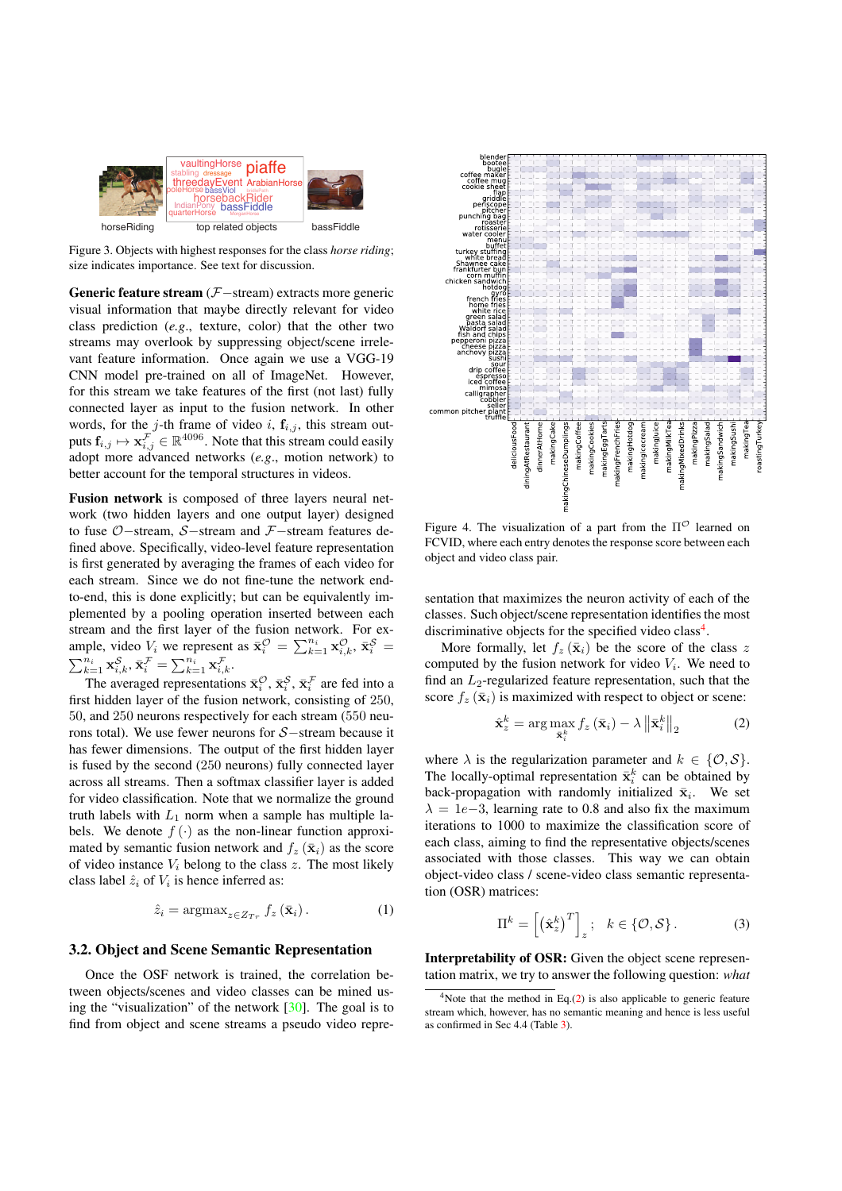

Figure 3. Objects with highest responses for the class *horse riding*; size indicates importance. See text for discussion.

Generic feature stream  $(F - \text{stream})$  extracts more generic visual information that maybe directly relevant for video class prediction (*e.g*., texture, color) that the other two streams may overlook by suppressing object/scene irrelevant feature information. Once again we use a VGG-19 CNN model pre-trained on all of ImageNet. However, for this stream we take features of the first (not last) fully connected layer as input to the fusion network. In other words, for the  $j$ -th frame of video  $i$ ,  $f_{i,j}$ , this stream outputs  $\mathbf{f}_{i,j} \mapsto \mathbf{x}_{i,j}^{\mathcal{F}} \in \mathbb{R}^{4096}.$  Note that this stream could easily adopt more advanced networks (*e.g*., motion network) to better account for the temporal structures in videos.

Fusion network is composed of three layers neural network (two hidden layers and one output layer) designed to fuse  $O$ -stream,  $S$ -stream and  $\mathcal{F}$ -stream features defined above. Specifically, video-level feature representation is first generated by averaging the frames of each video for each stream. Since we do not fine-tune the network endto-end, this is done explicitly; but can be equivalently implemented by a pooling operation inserted between each stream and the first layer of the fusion network. For example, video  $V_i$  we represent as  $\bar{\mathbf{x}}_i^{\mathcal{O}} = \sum_{k=1}^{n_i} \mathbf{x}_{i,k}^{\mathcal{O}}, \bar{\mathbf{x}}_i^{\mathcal{S}} = \sum_{k=1}^{n_i} \mathbf{x}_{i,k}^{\mathcal{O}}, \bar{\mathbf{x}}_i^{\mathcal{S}} = \sum_{k=1}^{n_i} \mathbf{x}_{i,k}^{\mathcal{S}}$  $\mathbf{x}_{k=1}^{n_i} \mathbf{x}_{i,k}^{\mathcal{S}}, \bar{\mathbf{x}}_i^{\mathcal{F}} = \sum_{k=1}^{n_i} \mathbf{x}_{i,k}^{\mathcal{F}}.$ 

The averaged representations  $\bar{\mathbf{x}}_i^{\mathcal{O}}, \bar{\mathbf{x}}_i^{\mathcal{S}}, \bar{\mathbf{x}}_i^{\mathcal{F}}$  are fed into a first hidden layer of the fusion network, consisting of 250, 50, and 250 neurons respectively for each stream (550 neurons total). We use fewer neurons for  $S$ -stream because it has fewer dimensions. The output of the first hidden layer is fused by the second (250 neurons) fully connected layer across all streams. Then a softmax classifier layer is added for video classification. Note that we normalize the ground truth labels with  $L_1$  norm when a sample has multiple labels. We denote  $f(\cdot)$  as the non-linear function approximated by semantic fusion network and  $f_z(\bar{x}_i)$  as the score of video instance  $V_i$  belong to the class  $z$ . The most likely class label  $\hat{z}_i$  of  $V_i$  is hence inferred as:

$$
\hat{z}_i = \operatorname{argmax}_{z \in Z_{Tr}} f_z(\bar{\mathbf{x}}_i). \tag{1}
$$

## 3.2. Object and Scene Semantic Representation

Once the OSF network is trained, the correlation between objects/scenes and video classes can be mined using the "visualization" of the network [30]. The goal is to find from object and scene streams a pseudo video repre-



Figure 4. The visualization of a part from the  $\Pi^{\mathcal{O}}$  learned on FCVID, where each entry denotes the response score between each object and video class pair.

sentation that maximizes the neuron activity of each of the classes. Such object/scene representation identifies the most discriminative objects for the specified video class<sup>4</sup>.

More formally, let  $f_z(\bar{\mathbf{x}}_i)$  be the score of the class *z* computed by the fusion network for video  $V_i$ . We need to find an  $L_2$ -regularized feature representation, such that the score  $f_z(\bar{\mathbf{x}}_i)$  is maximized with respect to object or scene:

$$
\hat{\mathbf{x}}_{z}^{k} = \arg \max_{\bar{\mathbf{x}}_{i}^{k}} f_{z} \left(\bar{\mathbf{x}}_{i}\right) - \lambda \left\|\bar{\mathbf{x}}_{i}^{k}\right\|_{2} \tag{2}
$$

where  $\lambda$  is the regularization parameter and  $k \in \{0, S\}$ . The locally-optimal representation  $\bar{\mathbf{x}}_i^k$  can be obtained by back-propagation with randomly initialized  $\bar{\mathbf{x}}_i$ . We set  $\lambda = 1e-3$ , learning rate to 0.8 and also fix the maximum iterations to 1000 to maximize the classification score of each class, aiming to find the representative objects/scenes associated with those classes. This way we can obtain object-video class / scene-video class semantic representation (OSR) matrices:

$$
\Pi^{k} = \left[ \left( \hat{\mathbf{x}}_{z}^{k} \right)^{T} \right]_{z}; \quad k \in \{ \mathcal{O}, \mathcal{S} \}.
$$
 (3)

Interpretability of OSR: Given the object scene representation matrix, we try to answer the following question: *what*

<sup>&</sup>lt;sup>4</sup>Note that the method in Eq.(2) is also applicable to generic feature stream which, however, has no semantic meaning and hence is less useful as confirmed in Sec 4.4 (Table 3).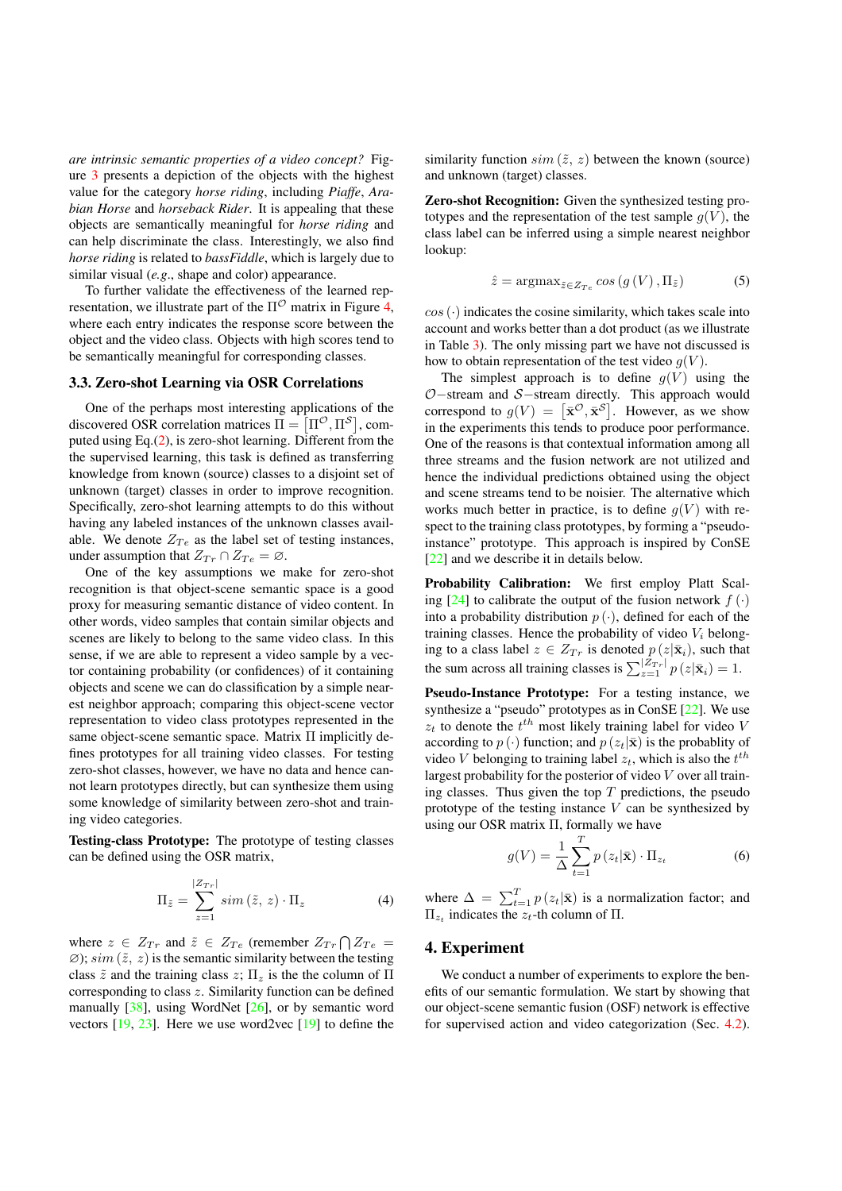*are intrinsic semantic properties of a video concept?* Figure 3 presents a depiction of the objects with the highest value for the category *horse riding*, including *Piaffe*, *Arabian Horse* and *horseback Rider*. It is appealing that these objects are semantically meaningful for *horse riding* and can help discriminate the class. Interestingly, we also find *horse riding* is related to *bassFiddle*, which is largely due to similar visual (*e.g*., shape and color) appearance.

To further validate the effectiveness of the learned representation, we illustrate part of the  $\Pi^{\mathcal{O}}$  matrix in Figure 4, where each entry indicates the response score between the object and the video class. Objects with high scores tend to be semantically meaningful for corresponding classes.

#### 3.3. Zero-shot Learning via OSR Correlations

One of the perhaps most interesting applications of the discovered OSR correlation matrices  $\Pi = \left[\Pi^{\mathcal{O}}, \Pi^{\mathcal{S}}\right]$ , computed using Eq.(2), is zero-shot learning. Different from the the supervised learning, this task is defined as transferring knowledge from known (source) classes to a disjoint set of unknown (target) classes in order to improve recognition. Specifically, zero-shot learning attempts to do this without having any labeled instances of the unknown classes available. We denote  $Z_{Te}$  as the label set of testing instances, under assumption that  $Z_{Tr} \cap Z_{Te} = \emptyset$ .

One of the key assumptions we make for zero-shot recognition is that object-scene semantic space is a good proxy for measuring semantic distance of video content. In other words, video samples that contain similar objects and scenes are likely to belong to the same video class. In this sense, if we are able to represent a video sample by a vector containing probability (or confidences) of it containing objects and scene we can do classification by a simple nearest neighbor approach; comparing this object-scene vector representation to video class prototypes represented in the same object-scene semantic space. Matrix  $\Pi$  implicitly defines prototypes for all training video classes. For testing zero-shot classes, however, we have no data and hence cannot learn prototypes directly, but can synthesize them using some knowledge of similarity between zero-shot and training video categories.

Testing-class Prototype: The prototype of testing classes can be defined using the OSR matrix,

$$
\Pi_{\tilde{z}} = \sum_{z=1}^{|Z_{Tr}|} sim\left(\tilde{z}, z\right) \cdot \Pi_z \tag{4}
$$

where  $z \in Z_{Tr}$  and  $\tilde{z} \in Z_{Te}$  (remember  $Z_{Tr} \bigcap Z_{Te} =$  $\emptyset$ ; *sim* ( $\tilde{z}$ , *z*) is the semantic similarity between the testing class  $\tilde{z}$  and the training class  $z$ ;  $\Pi_z$  is the the column of  $\Pi$ corresponding to class *z*. Similarity function can be defined manually [38], using WordNet [26], or by semantic word vectors [19, 23]. Here we use word2vec [19] to define the similarity function  $sim (\tilde{z}, z)$  between the known (source) and unknown (target) classes.

Zero-shot Recognition: Given the synthesized testing prototypes and the representation of the test sample  $q(V)$ , the class label can be inferred using a simple nearest neighbor lookup:

$$
\hat{z} = \operatorname{argmax}_{\tilde{z} \in Z_{Te}} \cos\left(g\left(V\right), \Pi_{\tilde{z}}\right) \tag{5}
$$

 $cos(\cdot)$  indicates the cosine similarity, which takes scale into account and works better than a dot product (as we illustrate in Table 3). The only missing part we have not discussed is how to obtain representation of the test video  $q(V)$ .

The simplest approach is to define  $g(V)$  using the  $O$ -stream and  $S$ -stream directly. This approach would correspond to  $g(V) = [\bar{\mathbf{x}}^{\mathcal{O}}, \bar{\mathbf{x}}^{\mathcal{S}}]$ . However, as we show in the experiments this tends to produce poor performance. One of the reasons is that contextual information among all three streams and the fusion network are not utilized and hence the individual predictions obtained using the object and scene streams tend to be noisier. The alternative which works much better in practice, is to define  $g(V)$  with respect to the training class prototypes, by forming a "pseudoinstance" prototype. This approach is inspired by ConSE [22] and we describe it in details below.

Probability Calibration: We first employ Platt Scaling [24] to calibrate the output of the fusion network  $f(\cdot)$ into a probability distribution  $p(\cdot)$ , defined for each of the training classes. Hence the probability of video *V<sup>i</sup>* belonging to a class label  $z \in Z_{Tr}$  is denoted  $p(z|\bar{\mathbf{x}}_i)$ , such that the sum across all training classes is  $\sum_{z=1}^{|Z_{Tr}|} p(z|\bar{\mathbf{x}}_i) = 1$ .

Pseudo-Instance Prototype: For a testing instance, we synthesize a "pseudo" prototypes as in ConSE [22]. We use  $z_t$  to denote the  $t^{th}$  most likely training label for video *V* according to  $p(\cdot)$  function; and  $p(z_t|\bar{\mathbf{x}})$  is the probablity of video *V* belonging to training label  $z_t$ , which is also the  $t^{th}$ largest probability for the posterior of video *V* over all training classes. Thus given the top  $T$  predictions, the pseudo prototype of the testing instance *V* can be synthesized by using our OSR matrix  $\Pi$ , formally we have

$$
g(V) = \frac{1}{\Delta} \sum_{t=1}^{T} p(z_t | \bar{\mathbf{x}}) \cdot \Pi_{z_t}
$$
 (6)

where  $\Delta = \sum_{t=1}^{T} p(z_t|\bar{\mathbf{x}})$  is a normalization factor; and  $\Pi_{z_t}$  indicates the  $z_t$ -th column of  $\Pi$ .

#### 4. Experiment

We conduct a number of experiments to explore the benefits of our semantic formulation. We start by showing that our object-scene semantic fusion (OSF) network is effective for supervised action and video categorization (Sec. 4.2).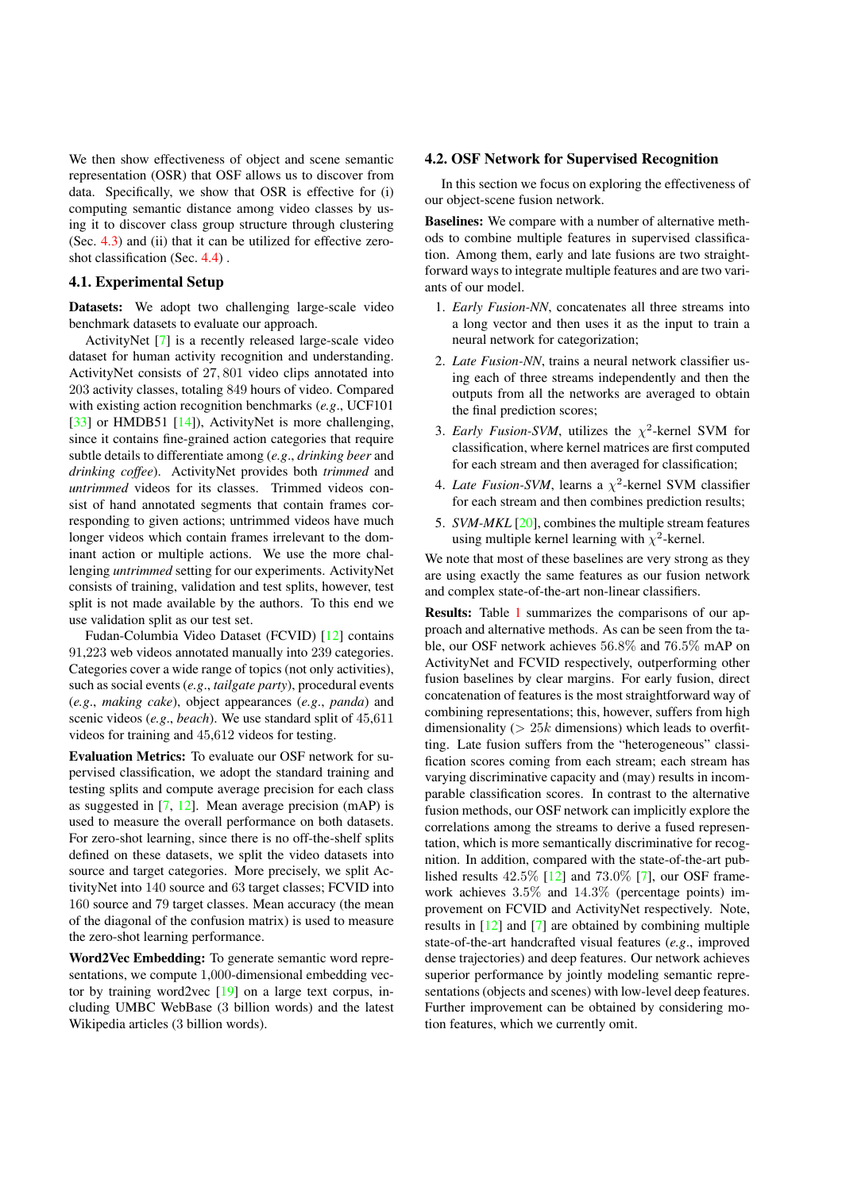We then show effectiveness of object and scene semantic representation (OSR) that OSF allows us to discover from data. Specifically, we show that OSR is effective for (i) computing semantic distance among video classes by using it to discover class group structure through clustering (Sec. 4.3) and (ii) that it can be utilized for effective zeroshot classification (Sec. 4.4) .

### 4.1. Experimental Setup

Datasets: We adopt two challenging large-scale video benchmark datasets to evaluate our approach.

ActivityNet [7] is a recently released large-scale video dataset for human activity recognition and understanding. ActivityNet consists of 27*,* 801 video clips annotated into 203 activity classes, totaling 849 hours of video. Compared with existing action recognition benchmarks (*e.g*., UCF101 [33] or HMDB51 [14]), ActivityNet is more challenging, since it contains fine-grained action categories that require subtle details to differentiate among (*e.g*., *drinking beer* and *drinking coffee*). ActivityNet provides both *trimmed* and *untrimmed* videos for its classes. Trimmed videos consist of hand annotated segments that contain frames corresponding to given actions; untrimmed videos have much longer videos which contain frames irrelevant to the dominant action or multiple actions. We use the more challenging *untrimmed* setting for our experiments. ActivityNet consists of training, validation and test splits, however, test split is not made available by the authors. To this end we use validation split as our test set.

Fudan-Columbia Video Dataset (FCVID) [12] contains 91,223 web videos annotated manually into 239 categories. Categories cover a wide range of topics (not only activities), such as social events (*e.g*., *tailgate party*), procedural events (*e.g*., *making cake*), object appearances (*e.g*., *panda*) and scenic videos (*e.g*., *beach*). We use standard split of 45,611 videos for training and 45,612 videos for testing.

Evaluation Metrics: To evaluate our OSF network for supervised classification, we adopt the standard training and testing splits and compute average precision for each class as suggested in [7, 12]. Mean average precision (mAP) is used to measure the overall performance on both datasets. For zero-shot learning, since there is no off-the-shelf splits defined on these datasets, we split the video datasets into source and target categories. More precisely, we split ActivityNet into 140 source and 63 target classes; FCVID into 160 source and 79 target classes. Mean accuracy (the mean of the diagonal of the confusion matrix) is used to measure the zero-shot learning performance.

Word2Vec Embedding: To generate semantic word representations, we compute 1,000-dimensional embedding vector by training word2vec  $[19]$  on a large text corpus, including UMBC WebBase (3 billion words) and the latest Wikipedia articles (3 billion words).

#### 4.2. OSF Network for Supervised Recognition

In this section we focus on exploring the effectiveness of our object-scene fusion network.

Baselines: We compare with a number of alternative methods to combine multiple features in supervised classification. Among them, early and late fusions are two straightforward ways to integrate multiple features and are two variants of our model.

- 1. *Early Fusion-NN*, concatenates all three streams into a long vector and then uses it as the input to train a neural network for categorization;
- 2. *Late Fusion-NN*, trains a neural network classifier using each of three streams independently and then the outputs from all the networks are averaged to obtain the final prediction scores;
- 3. *Early Fusion-SVM*, utilizes the  $\chi^2$ -kernel SVM for classification, where kernel matrices are first computed for each stream and then averaged for classification;
- 4. *Late Fusion-SVM*, learns a  $\chi^2$ -kernel SVM classifier for each stream and then combines prediction results;
- 5. *SVM-MKL* [20], combines the multiple stream features using multiple kernel learning with  $\chi^2$ -kernel.

We note that most of these baselines are very strong as they are using exactly the same features as our fusion network and complex state-of-the-art non-linear classifiers.

Results: Table 1 summarizes the comparisons of our approach and alternative methods. As can be seen from the table, our OSF network achieves 56*.*8% and 76*.*5% mAP on ActivityNet and FCVID respectively, outperforming other fusion baselines by clear margins. For early fusion, direct concatenation of features is the most straightforward way of combining representations; this, however, suffers from high dimensionality (*>* 25*k* dimensions) which leads to overfitting. Late fusion suffers from the "heterogeneous" classification scores coming from each stream; each stream has varying discriminative capacity and (may) results in incomparable classification scores. In contrast to the alternative fusion methods, our OSF network can implicitly explore the correlations among the streams to derive a fused representation, which is more semantically discriminative for recognition. In addition, compared with the state-of-the-art published results 42*.*5% [12] and 73*.*0% [7], our OSF framework achieves 3*.*5% and 14*.*3% (percentage points) improvement on FCVID and ActivityNet respectively. Note, results in [12] and [7] are obtained by combining multiple state-of-the-art handcrafted visual features (*e.g*., improved dense trajectories) and deep features. Our network achieves superior performance by jointly modeling semantic representations (objects and scenes) with low-level deep features. Further improvement can be obtained by considering motion features, which we currently omit.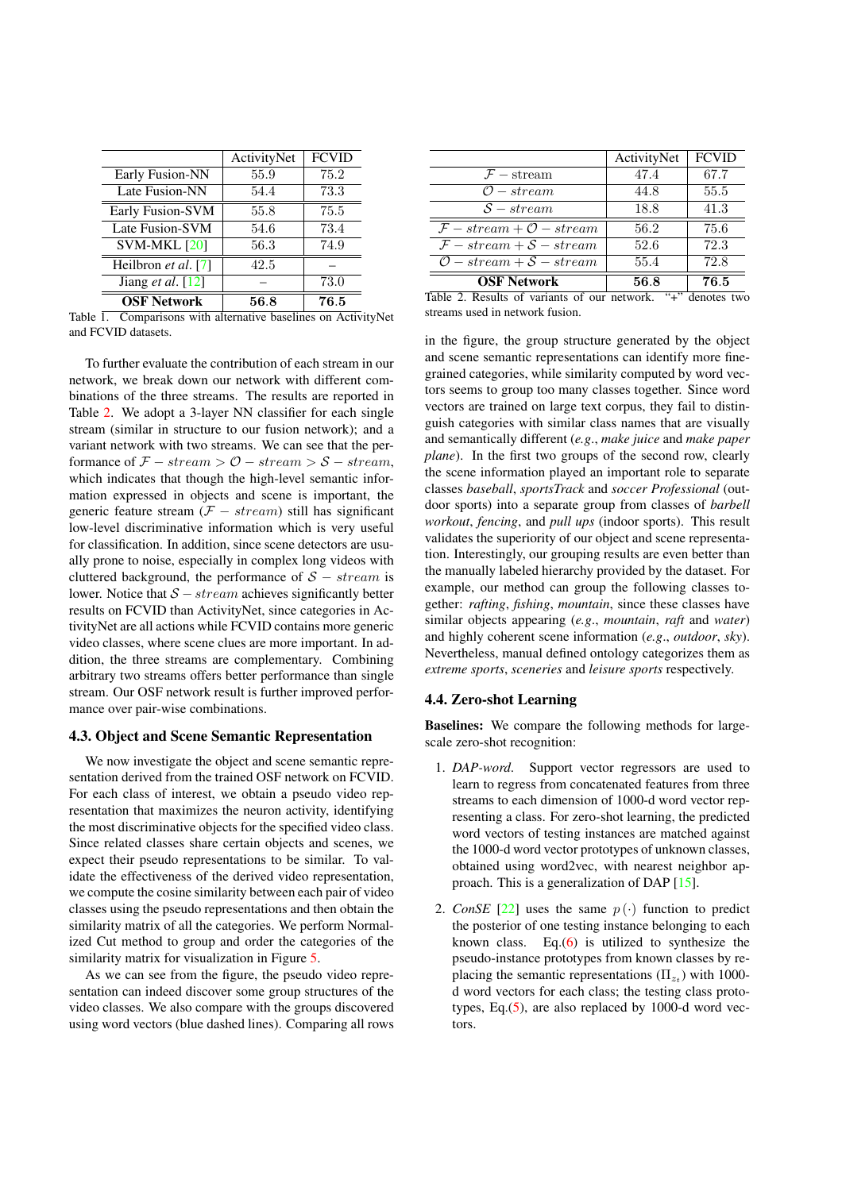|                            | ActivityNet | <b>FCVID</b> |
|----------------------------|-------------|--------------|
| Early Fusion-NN            | 55.9        | 75.2         |
| Late Fusion-NN             | 54.4        | 73.3         |
| Early Fusion-SVM           | 55.8        | 75.5         |
| Late Fusion-SVM            | 54.6        | 73.4         |
| SVM-MKL [20]               | 56.3        | 74.9         |
| Heilbron et al. [7]        | 42.5        |              |
| Jiang <i>et al.</i> $[12]$ |             | 73.0         |
| <b>OSF Network</b>         | 56.8        | 76.5         |

Table 1. Comparisons with alternative baselines on ActivityNet and FCVID datasets.

To further evaluate the contribution of each stream in our network, we break down our network with different combinations of the three streams. The results are reported in Table 2. We adopt a 3-layer NN classifier for each single stream (similar in structure to our fusion network); and a variant network with two streams. We can see that the performance of  $\mathcal{F}$  – stream >  $\mathcal{O}$  – stream >  $\mathcal{S}$  – stream, which indicates that though the high-level semantic information expressed in objects and scene is important, the generic feature stream  $(F - stream)$  still has significant low-level discriminative information which is very useful for classification. In addition, since scene detectors are usually prone to noise, especially in complex long videos with cluttered background, the performance of  $S - stream$  is lower. Notice that  $S - stream$  achieves significantly better results on FCVID than ActivityNet, since categories in ActivityNet are all actions while FCVID contains more generic video classes, where scene clues are more important. In addition, the three streams are complementary. Combining arbitrary two streams offers better performance than single stream. Our OSF network result is further improved performance over pair-wise combinations.

#### 4.3. Object and Scene Semantic Representation

We now investigate the object and scene semantic representation derived from the trained OSF network on FCVID. For each class of interest, we obtain a pseudo video representation that maximizes the neuron activity, identifying the most discriminative objects for the specified video class. Since related classes share certain objects and scenes, we expect their pseudo representations to be similar. To validate the effectiveness of the derived video representation, we compute the cosine similarity between each pair of video classes using the pseudo representations and then obtain the similarity matrix of all the categories. We perform Normalized Cut method to group and order the categories of the similarity matrix for visualization in Figure 5.

As we can see from the figure, the pseudo video representation can indeed discover some group structures of the video classes. We also compare with the groups discovered using word vectors (blue dashed lines). Comparing all rows

|                                           | ActivityNet | <b>FCVID</b> |
|-------------------------------------------|-------------|--------------|
| $F$ – stream                              | 47.4        | 67.7         |
| $\mathcal{O}-stream$                      | 44.8        | 55.5         |
| $S-stream$                                | 18.8        | 41.3         |
| $\mathcal{F}-stream+\mathcal{O}-stream$   | 56.2        | 75.6         |
| $\mathcal{F}-stream + \mathcal{S}-stream$ | 52.6        | 72.3         |
| $O-stream + S-stream$                     | 55.4        | 72.8         |
| <b>OSF Network</b>                        | 56.8        | 76.5         |

Table 2. Results of variants of our network. "+" denotes two streams used in network fusion.

in the figure, the group structure generated by the object and scene semantic representations can identify more finegrained categories, while similarity computed by word vectors seems to group too many classes together. Since word vectors are trained on large text corpus, they fail to distinguish categories with similar class names that are visually and semantically different (*e.g*., *make juice* and *make paper plane*). In the first two groups of the second row, clearly the scene information played an important role to separate classes *baseball*, *sportsTrack* and *soccer Professional* (outdoor sports) into a separate group from classes of *barbell workout*, *fencing*, and *pull ups* (indoor sports). This result validates the superiority of our object and scene representation. Interestingly, our grouping results are even better than the manually labeled hierarchy provided by the dataset. For example, our method can group the following classes together: *rafting*, *fishing*, *mountain*, since these classes have similar objects appearing (*e.g*., *mountain*, *raft* and *water*) and highly coherent scene information (*e.g*., *outdoor*, *sky*). Nevertheless, manual defined ontology categorizes them as *extreme sports*, *sceneries* and *leisure sports* respectively.

#### 4.4. Zero-shot Learning

Baselines: We compare the following methods for largescale zero-shot recognition:

- 1. *DAP-word*. Support vector regressors are used to learn to regress from concatenated features from three streams to each dimension of 1000-d word vector representing a class. For zero-shot learning, the predicted word vectors of testing instances are matched against the 1000-d word vector prototypes of unknown classes, obtained using word2vec, with nearest neighbor approach. This is a generalization of DAP [15].
- 2. *ConSE* [22] uses the same  $p(\cdot)$  function to predict the posterior of one testing instance belonging to each known class. Eq. $(6)$  is utilized to synthesize the pseudo-instance prototypes from known classes by replacing the semantic representations ( $\Pi_{z}$ ) with 1000d word vectors for each class; the testing class prototypes, Eq. $(5)$ , are also replaced by 1000-d word vectors.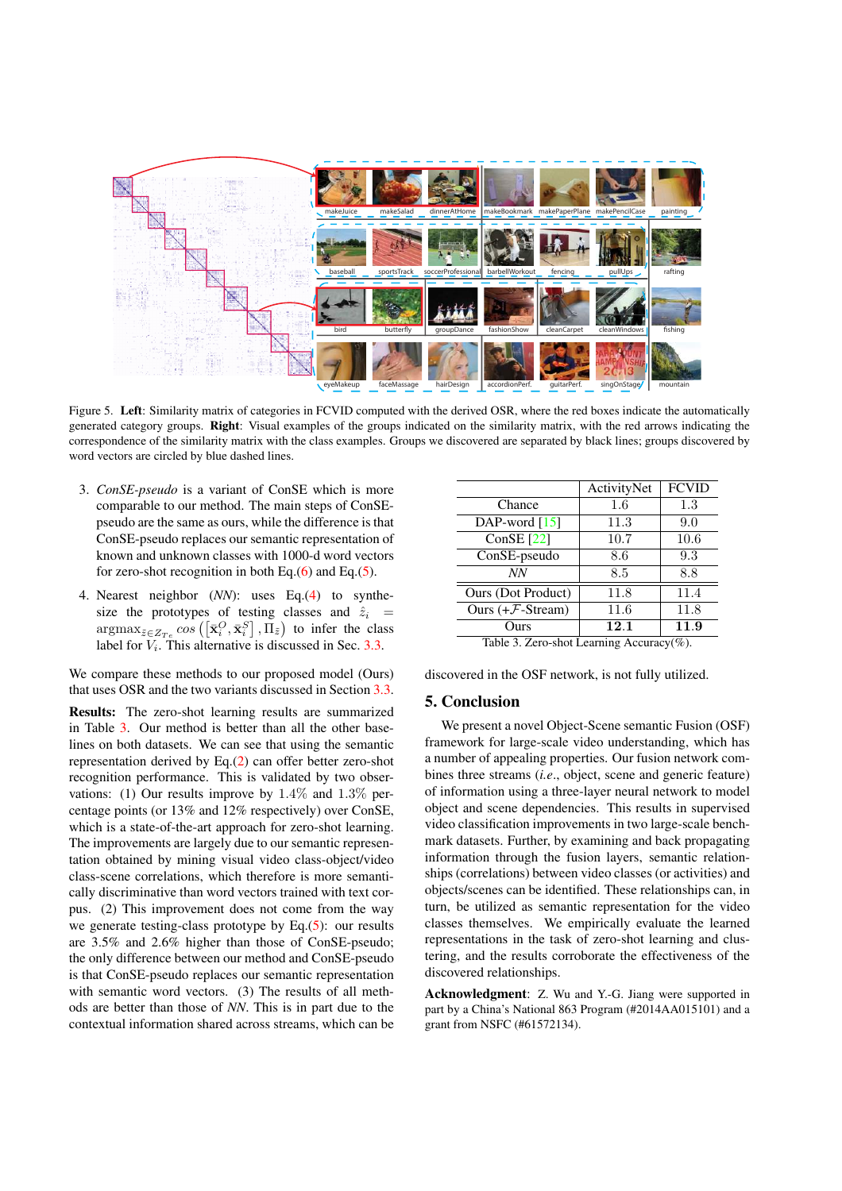

Figure 5. Left: Similarity matrix of categories in FCVID computed with the derived OSR, where the red boxes indicate the automatically generated category groups. Right: Visual examples of the groups indicated on the similarity matrix, with the red arrows indicating the correspondence of the similarity matrix with the class examples. Groups we discovered are separated by black lines; groups discovered by word vectors are circled by blue dashed lines.

- 3. *ConSE-pseudo* is a variant of ConSE which is more comparable to our method. The main steps of ConSEpseudo are the same as ours, while the difference is that ConSE-pseudo replaces our semantic representation of known and unknown classes with 1000-d word vectors for zero-shot recognition in both Eq. $(6)$  and Eq. $(5)$ .
- 4. Nearest neighbor (*NN*): uses Eq.(4) to synthesize the prototypes of testing classes and  $\hat{z}_i$  =  $\arg \max_{\tilde{z} \in Z_{T_e}} cos \left( \left[ \bar{\mathbf{x}}_i^O, \bar{\mathbf{x}}_i^S \right], \bar{\Pi}_{\tilde{z}} \right)$  to infer the class label for  $V_i$ . This alternative is discussed in Sec. 3.3.

We compare these methods to our proposed model (Ours) that uses OSR and the two variants discussed in Section 3.3.

Results: The zero-shot learning results are summarized in Table 3. Our method is better than all the other baselines on both datasets. We can see that using the semantic representation derived by Eq.(2) can offer better zero-shot recognition performance. This is validated by two observations: (1) Our results improve by 1*.*4% and 1*.*3% percentage points (or 13% and 12% respectively) over ConSE, which is a state-of-the-art approach for zero-shot learning. The improvements are largely due to our semantic representation obtained by mining visual video class-object/video class-scene correlations, which therefore is more semantically discriminative than word vectors trained with text corpus. (2) This improvement does not come from the way we generate testing-class prototype by Eq. $(5)$ : our results are 3.5% and 2.6% higher than those of ConSE-pseudo; the only difference between our method and ConSE-pseudo is that ConSE-pseudo replaces our semantic representation with semantic word vectors. (3) The results of all methods are better than those of *NN*. This is in part due to the contextual information shared across streams, which can be

|                                          | ActivityNet | <b>FCVID</b> |  |
|------------------------------------------|-------------|--------------|--|
| Chance                                   | 1.6         | 1.3          |  |
| DAP-word $[15]$                          | 11.3        | 9.0          |  |
| ConSE $[22]$                             | 10.7        | 10.6         |  |
| ConSE-pseudo                             | 8.6         | 9.3          |  |
| NN                                       | 8.5         | 8.8          |  |
| Ours (Dot Product)                       | 11.8        | 11.4         |  |
| Ours $(+F-Stream)$                       | 11.6        | 11.8         |  |
| Ours                                     | 12.1        | 11.9         |  |
| Table 3. Zero-shot Learning Accuracy(%). |             |              |  |

discovered in the OSF network, is not fully utilized.

## 5. Conclusion

We present a novel Object-Scene semantic Fusion (OSF) framework for large-scale video understanding, which has a number of appealing properties. Our fusion network combines three streams (*i.e*., object, scene and generic feature) of information using a three-layer neural network to model object and scene dependencies. This results in supervised video classification improvements in two large-scale benchmark datasets. Further, by examining and back propagating information through the fusion layers, semantic relationships (correlations) between video classes (or activities) and objects/scenes can be identified. These relationships can, in turn, be utilized as semantic representation for the video classes themselves. We empirically evaluate the learned representations in the task of zero-shot learning and clustering, and the results corroborate the effectiveness of the discovered relationships.

Acknowledgment: Z. Wu and Y.-G. Jiang were supported in part by a China's National 863 Program (#2014AA015101) and a grant from NSFC (#61572134).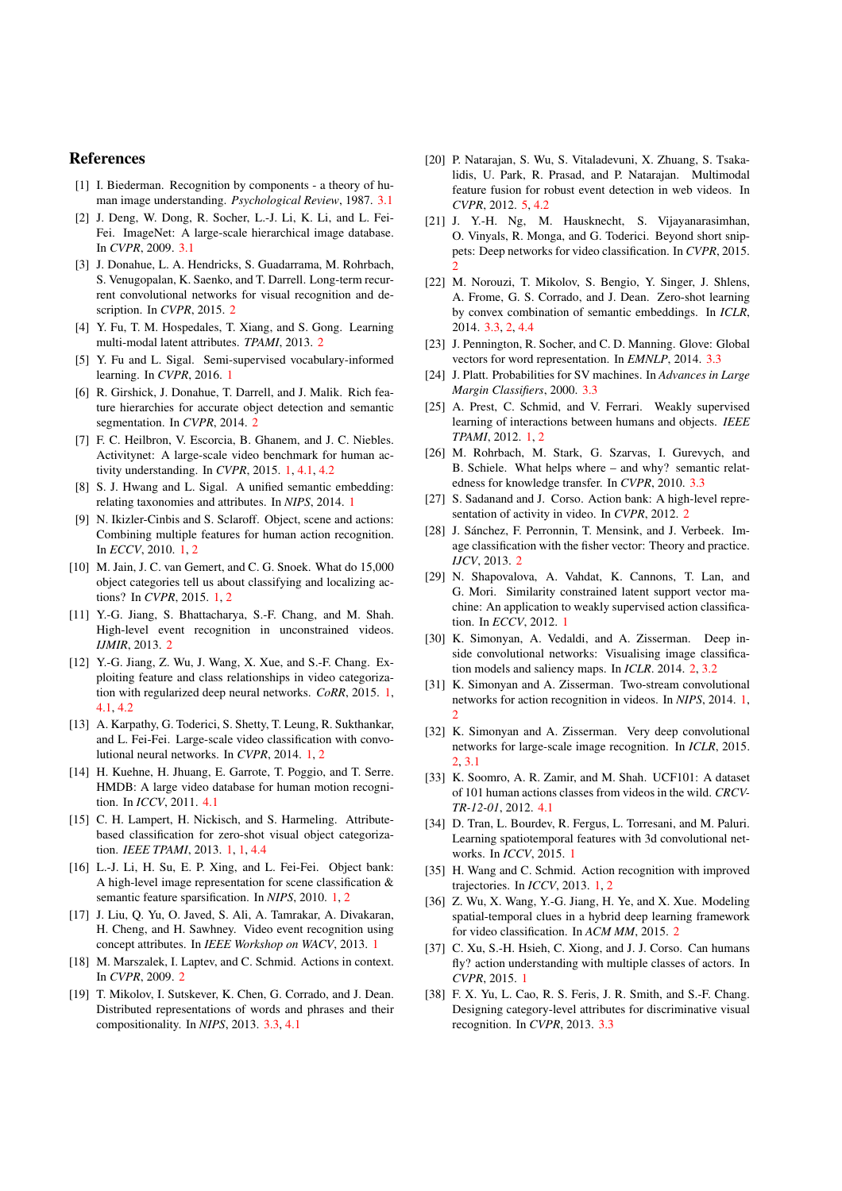#### References

- [1] I. Biederman. Recognition by components a theory of human image understanding. *Psychological Review*, 1987. 3.1
- [2] J. Deng, W. Dong, R. Socher, L.-J. Li, K. Li, and L. Fei-Fei. ImageNet: A large-scale hierarchical image database. In *CVPR*, 2009. 3.1
- [3] J. Donahue, L. A. Hendricks, S. Guadarrama, M. Rohrbach, S. Venugopalan, K. Saenko, and T. Darrell. Long-term recurrent convolutional networks for visual recognition and description. In *CVPR*, 2015. 2
- [4] Y. Fu, T. M. Hospedales, T. Xiang, and S. Gong. Learning multi-modal latent attributes. *TPAMI*, 2013. 2
- [5] Y. Fu and L. Sigal. Semi-supervised vocabulary-informed learning. In *CVPR*, 2016. 1
- [6] R. Girshick, J. Donahue, T. Darrell, and J. Malik. Rich feature hierarchies for accurate object detection and semantic segmentation. In *CVPR*, 2014. 2
- [7] F. C. Heilbron, V. Escorcia, B. Ghanem, and J. C. Niebles. Activitynet: A large-scale video benchmark for human activity understanding. In *CVPR*, 2015. 1, 4.1, 4.2
- [8] S. J. Hwang and L. Sigal. A unified semantic embedding: relating taxonomies and attributes. In *NIPS*, 2014. 1
- [9] N. Ikizler-Cinbis and S. Sclaroff. Object, scene and actions: Combining multiple features for human action recognition. In *ECCV*, 2010. 1, 2
- [10] M. Jain, J. C. van Gemert, and C. G. Snoek. What do 15,000 object categories tell us about classifying and localizing actions? In *CVPR*, 2015. 1, 2
- [11] Y.-G. Jiang, S. Bhattacharya, S.-F. Chang, and M. Shah. High-level event recognition in unconstrained videos. *IJMIR*, 2013. 2
- [12] Y.-G. Jiang, Z. Wu, J. Wang, X. Xue, and S.-F. Chang. Exploiting feature and class relationships in video categorization with regularized deep neural networks. *CoRR*, 2015. 1, 4.1, 4.2
- [13] A. Karpathy, G. Toderici, S. Shetty, T. Leung, R. Sukthankar, and L. Fei-Fei. Large-scale video classification with convolutional neural networks. In *CVPR*, 2014. 1, 2
- [14] H. Kuehne, H. Jhuang, E. Garrote, T. Poggio, and T. Serre. HMDB: A large video database for human motion recognition. In *ICCV*, 2011. 4.1
- [15] C. H. Lampert, H. Nickisch, and S. Harmeling. Attributebased classification for zero-shot visual object categorization. *IEEE TPAMI*, 2013. 1, 1, 4.4
- [16] L.-J. Li, H. Su, E. P. Xing, and L. Fei-Fei. Object bank: A high-level image representation for scene classification & semantic feature sparsification. In *NIPS*, 2010. 1, 2
- [17] J. Liu, Q. Yu, O. Javed, S. Ali, A. Tamrakar, A. Divakaran, H. Cheng, and H. Sawhney. Video event recognition using concept attributes. In *IEEE Workshop on WACV*, 2013. 1
- [18] M. Marszalek, I. Laptev, and C. Schmid. Actions in context. In *CVPR*, 2009. 2
- [19] T. Mikolov, I. Sutskever, K. Chen, G. Corrado, and J. Dean. Distributed representations of words and phrases and their compositionality. In *NIPS*, 2013. 3.3, 4.1
- [20] P. Natarajan, S. Wu, S. Vitaladevuni, X. Zhuang, S. Tsakalidis, U. Park, R. Prasad, and P. Natarajan. Multimodal feature fusion for robust event detection in web videos. In *CVPR*, 2012. 5, 4.2
- [21] J. Y.-H. Ng, M. Hausknecht, S. Vijayanarasimhan, O. Vinyals, R. Monga, and G. Toderici. Beyond short snippets: Deep networks for video classification. In *CVPR*, 2015. 2
- [22] M. Norouzi, T. Mikolov, S. Bengio, Y. Singer, J. Shlens, A. Frome, G. S. Corrado, and J. Dean. Zero-shot learning by convex combination of semantic embeddings. In *ICLR*, 2014. 3.3, 2, 4.4
- [23] J. Pennington, R. Socher, and C. D. Manning. Glove: Global vectors for word representation. In *EMNLP*, 2014. 3.3
- [24] J. Platt. Probabilities for SV machines. In *Advances in Large Margin Classifiers*, 2000. 3.3
- [25] A. Prest, C. Schmid, and V. Ferrari. Weakly supervised learning of interactions between humans and objects. *IEEE TPAMI*, 2012. 1, 2
- [26] M. Rohrbach, M. Stark, G. Szarvas, I. Gurevych, and B. Schiele. What helps where – and why? semantic relatedness for knowledge transfer. In *CVPR*, 2010. 3.3
- [27] S. Sadanand and J. Corso. Action bank: A high-level representation of activity in video. In *CVPR*, 2012. 2
- [28] J. Sánchez, F. Perronnin, T. Mensink, and J. Verbeek. Image classification with the fisher vector: Theory and practice. *IJCV*, 2013. 2
- [29] N. Shapovalova, A. Vahdat, K. Cannons, T. Lan, and G. Mori. Similarity constrained latent support vector machine: An application to weakly supervised action classification. In *ECCV*, 2012. 1
- [30] K. Simonyan, A. Vedaldi, and A. Zisserman. Deep inside convolutional networks: Visualising image classification models and saliency maps. In *ICLR*. 2014. 2, 3.2
- [31] K. Simonyan and A. Zisserman. Two-stream convolutional networks for action recognition in videos. In *NIPS*, 2014. 1, 2
- [32] K. Simonyan and A. Zisserman. Very deep convolutional networks for large-scale image recognition. In *ICLR*, 2015. 2, 3.1
- [33] K. Soomro, A. R. Zamir, and M. Shah. UCF101: A dataset of 101 human actions classes from videos in the wild. *CRCV-TR-12-01*, 2012. 4.1
- [34] D. Tran, L. Bourdev, R. Fergus, L. Torresani, and M. Paluri. Learning spatiotemporal features with 3d convolutional networks. In *ICCV*, 2015. 1
- [35] H. Wang and C. Schmid. Action recognition with improved trajectories. In *ICCV*, 2013. 1, 2
- [36] Z. Wu, X. Wang, Y.-G. Jiang, H. Ye, and X. Xue. Modeling spatial-temporal clues in a hybrid deep learning framework for video classification. In *ACM MM*, 2015. 2
- [37] C. Xu, S.-H. Hsieh, C. Xiong, and J. J. Corso. Can humans fly? action understanding with multiple classes of actors. In *CVPR*, 2015. 1
- [38] F. X. Yu, L. Cao, R. S. Feris, J. R. Smith, and S.-F. Chang. Designing category-level attributes for discriminative visual recognition. In *CVPR*, 2013. 3.3